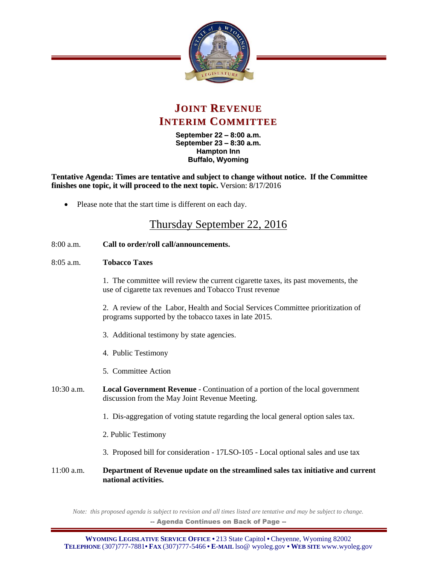



**September 22 – 8:00 a.m. September 23 – 8:30 a.m. Hampton Inn Buffalo, Wyoming**

**Tentative Agenda: Times are tentative and subject to change without notice. If the Committee finishes one topic, it will proceed to the next topic.** Version: 8/17/2016

Please note that the start time is different on each day.

## Thursday September 22, 2016

- 8:00 a.m. **Call to order/roll call/announcements.**
- 8:05 a.m. **Tobacco Taxes**

1. The committee will review the current cigarette taxes, its past movements, the use of cigarette tax revenues and Tobacco Trust revenue

2. A review of the Labor, Health and Social Services Committee prioritization of programs supported by the tobacco taxes in late 2015.

- 3. Additional testimony by state agencies.
- 4. Public Testimony
- 5. Committee Action
- 10:30 a.m. **Local Government Revenue** Continuation of a portion of the local government discussion from the May Joint Revenue Meeting.
	- 1. Dis-aggregation of voting statute regarding the local general option sales tax.
	- 2. Public Testimony
	- 3. Proposed bill for consideration 17LSO-105 Local optional sales and use tax
- 11:00 a.m. **Department of Revenue update on the streamlined sales tax initiative and current national activities.**

*Note: this proposed agenda is subject to revision and all times listed are tentative and may be subject to change.* -- Agenda Continues on Back of Page --